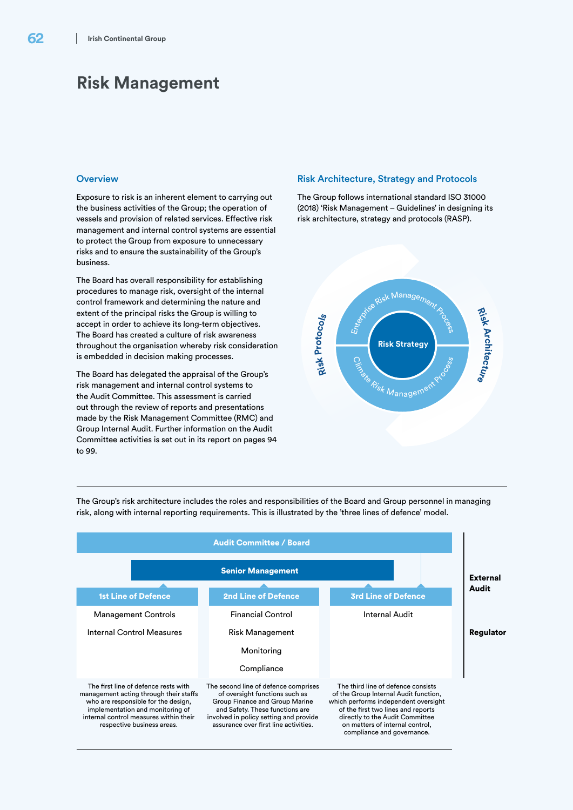# **Risk Management**

## **Overview**

Exposure to risk is an inherent element to carrying out the business activities of the Group; the operation of vessels and provision of related services. Effective risk management and internal control systems are essential to protect the Group from exposure to unnecessary risks and to ensure the sustainability of the Group's business.

The Board has overall responsibility for establishing procedures to manage risk, oversight of the internal control framework and determining the nature and extent of the principal risks the Group is willing to accept in order to achieve its long-term objectives. The Board has created a culture of risk awareness throughout the organisation whereby risk consideration is embedded in decision making processes.

The Board has delegated the appraisal of the Group's risk management and internal control systems to the Audit Committee. This assessment is carried out through the review of reports and presentations made by the Risk Management Committee (RMC) and Group Internal Audit. Further information on the Audit Committee activities is set out in its report on pages 94 to 99.

### Risk Architecture, Strategy and Protocols

The Group follows international standard ISO 31000 (2018) 'Risk Management – Guidelines' in designing its risk architecture, strategy and protocols (RASP).



The Group's risk architecture includes the roles and responsibilities of the Board and Group personnel in managing risk, along with internal reporting requirements. This is illustrated by the 'three lines of defence' model.

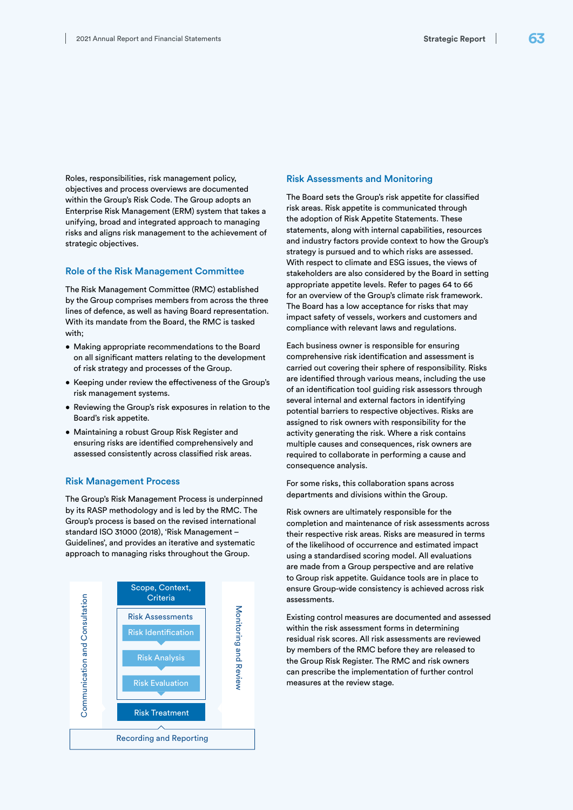Roles, responsibilities, risk management policy, objectives and process overviews are documented within the Group's Risk Code. The Group adopts an Enterprise Risk Management (ERM) system that takes a unifying, broad and integrated approach to managing risks and aligns risk management to the achievement of strategic objectives.

## Role of the Risk Management Committee

The Risk Management Committee (RMC) established by the Group comprises members from across the three lines of defence, as well as having Board representation. With its mandate from the Board, the RMC is tasked with;

- Making appropriate recommendations to the Board on all significant matters relating to the development of risk strategy and processes of the Group.
- Keeping under review the effectiveness of the Group's risk management systems.
- Reviewing the Group's risk exposures in relation to the Board's risk appetite.
- Maintaining a robust Group Risk Register and ensuring risks are identified comprehensively and assessed consistently across classified risk areas.

## Risk Management Process

The Group's Risk Management Process is underpinned by its RASP methodology and is led by the RMC. The Group's process is based on the revised international standard ISO 31000 (2018), 'Risk Management – Guidelines', and provides an iterative and systematic approach to managing risks throughout the Group.



## Risk Assessments and Monitoring

The Board sets the Group's risk appetite for classified risk areas. Risk appetite is communicated through the adoption of Risk Appetite Statements. These statements, along with internal capabilities, resources and industry factors provide context to how the Group's strategy is pursued and to which risks are assessed. With respect to climate and ESG issues, the views of stakeholders are also considered by the Board in setting appropriate appetite levels. Refer to pages 64 to 66 for an overview of the Group's climate risk framework. The Board has a low acceptance for risks that may impact safety of vessels, workers and customers and compliance with relevant laws and regulations.

Each business owner is responsible for ensuring comprehensive risk identification and assessment is carried out covering their sphere of responsibility. Risks are identified through various means, including the use of an identification tool guiding risk assessors through several internal and external factors in identifying potential barriers to respective objectives. Risks are assigned to risk owners with responsibility for the activity generating the risk. Where a risk contains multiple causes and consequences, risk owners are required to collaborate in performing a cause and consequence analysis.

For some risks, this collaboration spans across departments and divisions within the Group.

Risk owners are ultimately responsible for the completion and maintenance of risk assessments across their respective risk areas. Risks are measured in terms of the likelihood of occurrence and estimated impact using a standardised scoring model. All evaluations are made from a Group perspective and are relative to Group risk appetite. Guidance tools are in place to ensure Group-wide consistency is achieved across risk assessments.

Existing control measures are documented and assessed within the risk assessment forms in determining residual risk scores. All risk assessments are reviewed by members of the RMC before they are released to the Group Risk Register. The RMC and risk owners can prescribe the implementation of further control measures at the review stage.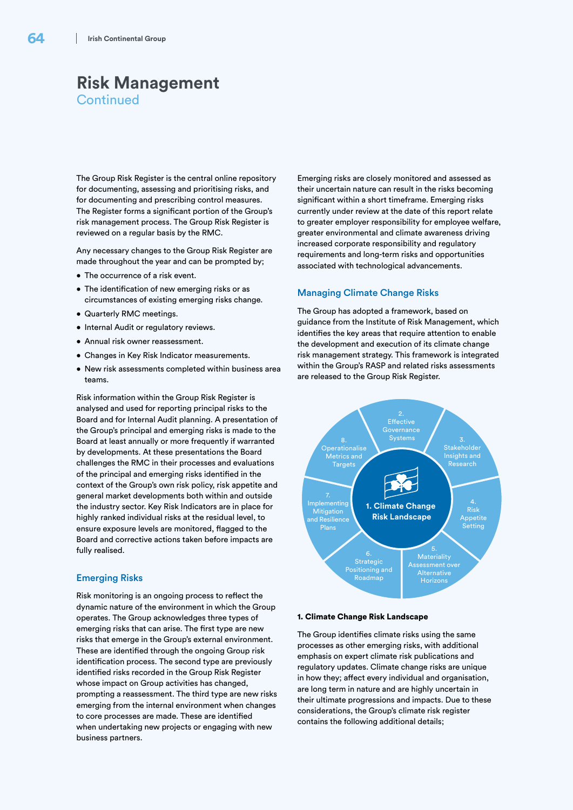The Group Risk Register is the central online repository for documenting, assessing and prioritising risks, and for documenting and prescribing control measures. The Register forms a significant portion of the Group's risk management process. The Group Risk Register is reviewed on a regular basis by the RMC.

Any necessary changes to the Group Risk Register are made throughout the year and can be prompted by;

- The occurrence of a risk event.
- The identification of new emerging risks or as circumstances of existing emerging risks change.
- Quarterly RMC meetings.
- Internal Audit or regulatory reviews.
- Annual risk owner reassessment.
- Changes in Key Risk Indicator measurements.
- New risk assessments completed within business area teams.

Risk information within the Group Risk Register is analysed and used for reporting principal risks to the Board and for Internal Audit planning. A presentation of the Group's principal and emerging risks is made to the Board at least annually or more frequently if warranted by developments. At these presentations the Board challenges the RMC in their processes and evaluations of the principal and emerging risks identified in the context of the Group's own risk policy, risk appetite and general market developments both within and outside the industry sector. Key Risk Indicators are in place for highly ranked individual risks at the residual level, to ensure exposure levels are monitored, flagged to the Board and corrective actions taken before impacts are fully realised.

## Emerging Risks

Risk monitoring is an ongoing process to reflect the dynamic nature of the environment in which the Group operates. The Group acknowledges three types of emerging risks that can arise. The first type are new risks that emerge in the Group's external environment. These are identified through the ongoing Group risk identification process. The second type are previously identified risks recorded in the Group Risk Register whose impact on Group activities has changed, prompting a reassessment. The third type are new risks emerging from the internal environment when changes to core processes are made. These are identified when undertaking new projects or engaging with new business partners.

Emerging risks are closely monitored and assessed as their uncertain nature can result in the risks becoming significant within a short timeframe. Emerging risks currently under review at the date of this report relate to greater employer responsibility for employee welfare, greater environmental and climate awareness driving increased corporate responsibility and regulatory requirements and long-term risks and opportunities associated with technological advancements.

## Managing Climate Change Risks

The Group has adopted a framework, based on guidance from the Institute of Risk Management, which identifies the key areas that require attention to enable the development and execution of its climate change risk management strategy. This framework is integrated within the Group's RASP and related risks assessments are released to the Group Risk Register.



### 1. Climate Change Risk Landscape

The Group identifies climate risks using the same processes as other emerging risks, with additional emphasis on expert climate risk publications and regulatory updates. Climate change risks are unique in how they; affect every individual and organisation, are long term in nature and are highly uncertain in their ultimate progressions and impacts. Due to these considerations, the Group's climate risk register contains the following additional details;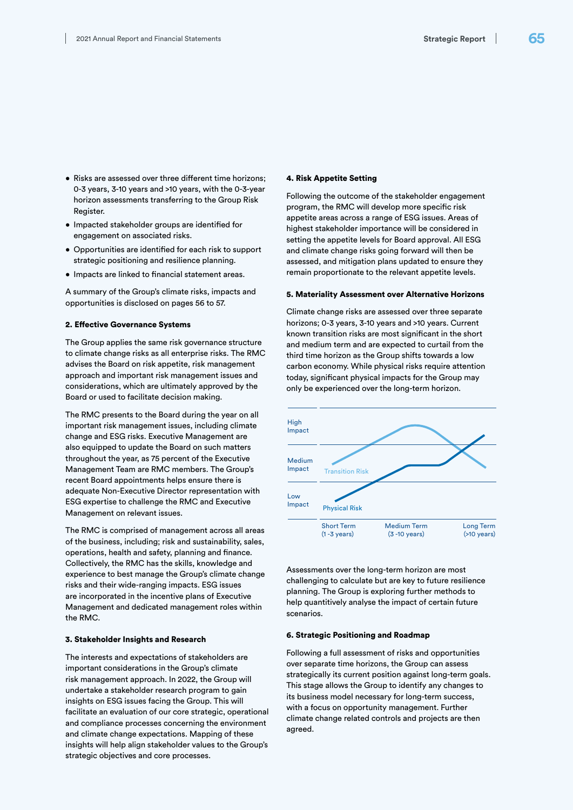- Risks are assessed over three different time horizons; 0-3 years, 3-10 years and >10 years, with the 0-3-year horizon assessments transferring to the Group Risk Register.
- Impacted stakeholder groups are identified for engagement on associated risks.
- Opportunities are identified for each risk to support strategic positioning and resilience planning.
- Impacts are linked to financial statement areas.

A summary of the Group's climate risks, impacts and opportunities is disclosed on pages 56 to 57.

### 2. Effective Governance Systems

The Group applies the same risk governance structure to climate change risks as all enterprise risks. The RMC advises the Board on risk appetite, risk management approach and important risk management issues and considerations, which are ultimately approved by the Board or used to facilitate decision making.

The RMC presents to the Board during the year on all important risk management issues, including climate change and ESG risks. Executive Management are also equipped to update the Board on such matters throughout the year, as 75 percent of the Executive Management Team are RMC members. The Group's recent Board appointments helps ensure there is adequate Non-Executive Director representation with ESG expertise to challenge the RMC and Executive Management on relevant issues.

The RMC is comprised of management across all areas of the business, including; risk and sustainability, sales, operations, health and safety, planning and finance. Collectively, the RMC has the skills, knowledge and experience to best manage the Group's climate change risks and their wide-ranging impacts. ESG issues are incorporated in the incentive plans of Executive Management and dedicated management roles within the RMC.

## 3. Stakeholder Insights and Research

The interests and expectations of stakeholders are important considerations in the Group's climate risk management approach. In 2022, the Group will undertake a stakeholder research program to gain insights on ESG issues facing the Group. This will facilitate an evaluation of our core strategic, operational and compliance processes concerning the environment and climate change expectations. Mapping of these insights will help align stakeholder values to the Group's strategic objectives and core processes.

### 4. Risk Appetite Setting

Following the outcome of the stakeholder engagement program, the RMC will develop more specific risk appetite areas across a range of ESG issues. Areas of highest stakeholder importance will be considered in setting the appetite levels for Board approval. All ESG and climate change risks going forward will then be assessed, and mitigation plans updated to ensure they remain proportionate to the relevant appetite levels.

### 5. Materiality Assessment over Alternative Horizons

Climate change risks are assessed over three separate horizons; 0-3 years, 3-10 years and >10 years. Current known transition risks are most significant in the short and medium term and are expected to curtail from the third time horizon as the Group shifts towards a low carbon economy. While physical risks require attention today, significant physical impacts for the Group may only be experienced over the long-term horizon.



Assessments over the long-term horizon are most challenging to calculate but are key to future resilience planning. The Group is exploring further methods to help quantitively analyse the impact of certain future scenarios.

### 6. Strategic Positioning and Roadmap

Following a full assessment of risks and opportunities over separate time horizons, the Group can assess strategically its current position against long-term goals. This stage allows the Group to identify any changes to its business model necessary for long-term success, with a focus on opportunity management. Further climate change related controls and projects are then agreed.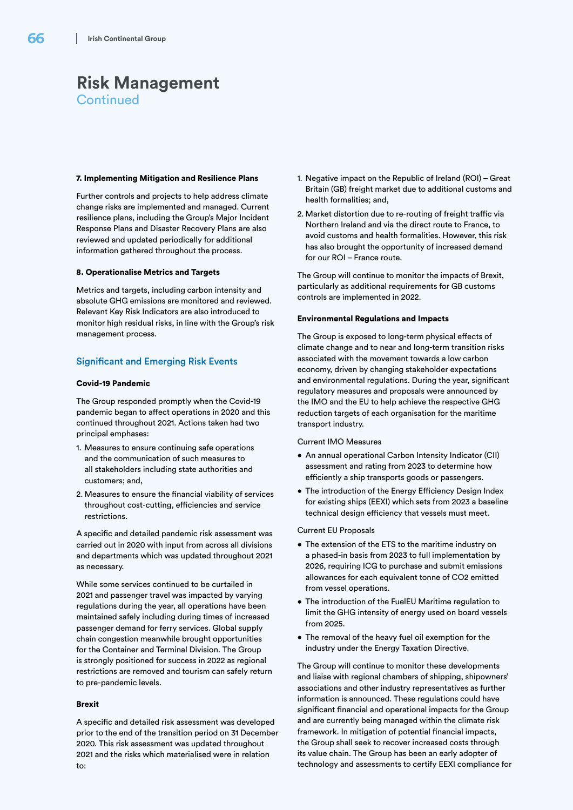### 7. Implementing Mitigation and Resilience Plans

Further controls and projects to help address climate change risks are implemented and managed. Current resilience plans, including the Group's Major Incident Response Plans and Disaster Recovery Plans are also reviewed and updated periodically for additional information gathered throughout the process.

### 8. Operationalise Metrics and Targets

Metrics and targets, including carbon intensity and absolute GHG emissions are monitored and reviewed. Relevant Key Risk Indicators are also introduced to monitor high residual risks, in line with the Group's risk management process.

## Significant and Emerging Risk Events

### Covid-19 Pandemic

The Group responded promptly when the Covid-19 pandemic began to affect operations in 2020 and this continued throughout 2021. Actions taken had two principal emphases:

- 1. Measures to ensure continuing safe operations and the communication of such measures to all stakeholders including state authorities and customers; and,
- 2. Measures to ensure the financial viability of services throughout cost-cutting, efficiencies and service restrictions.

A specific and detailed pandemic risk assessment was carried out in 2020 with input from across all divisions and departments which was updated throughout 2021 as necessary.

While some services continued to be curtailed in 2021 and passenger travel was impacted by varying regulations during the year, all operations have been maintained safely including during times of increased passenger demand for ferry services. Global supply chain congestion meanwhile brought opportunities for the Container and Terminal Division. The Group is strongly positioned for success in 2022 as regional restrictions are removed and tourism can safely return to pre-pandemic levels.

### Brexit

A specific and detailed risk assessment was developed prior to the end of the transition period on 31 December 2020. This risk assessment was updated throughout 2021 and the risks which materialised were in relation to:

- 1. Negative impact on the Republic of Ireland (ROI) Great Britain (GB) freight market due to additional customs and health formalities; and,
- 2. Market distortion due to re-routing of freight traffic via Northern Ireland and via the direct route to France, to avoid customs and health formalities. However, this risk has also brought the opportunity of increased demand for our ROI – France route.

The Group will continue to monitor the impacts of Brexit, particularly as additional requirements for GB customs controls are implemented in 2022.

### Environmental Regulations and Impacts

The Group is exposed to long-term physical effects of climate change and to near and long-term transition risks associated with the movement towards a low carbon economy, driven by changing stakeholder expectations and environmental regulations. During the year, significant regulatory measures and proposals were announced by the IMO and the EU to help achieve the respective GHG reduction targets of each organisation for the maritime transport industry.

#### Current IMO Measures

- An annual operational Carbon Intensity Indicator (CII) assessment and rating from 2023 to determine how efficiently a ship transports goods or passengers.
- The introduction of the Energy Efficiency Design Index for existing ships (EEXI) which sets from 2023 a baseline technical design efficiency that vessels must meet.

### Current EU Proposals

- The extension of the ETS to the maritime industry on a phased-in basis from 2023 to full implementation by 2026, requiring ICG to purchase and submit emissions allowances for each equivalent tonne of CO2 emitted from vessel operations.
- The introduction of the FuelEU Maritime regulation to limit the GHG intensity of energy used on board vessels from 2025.
- The removal of the heavy fuel oil exemption for the industry under the Energy Taxation Directive.

The Group will continue to monitor these developments and liaise with regional chambers of shipping, shipowners' associations and other industry representatives as further information is announced. These regulations could have significant financial and operational impacts for the Group and are currently being managed within the climate risk framework. In mitigation of potential financial impacts, the Group shall seek to recover increased costs through its value chain. The Group has been an early adopter of technology and assessments to certify EEXI compliance for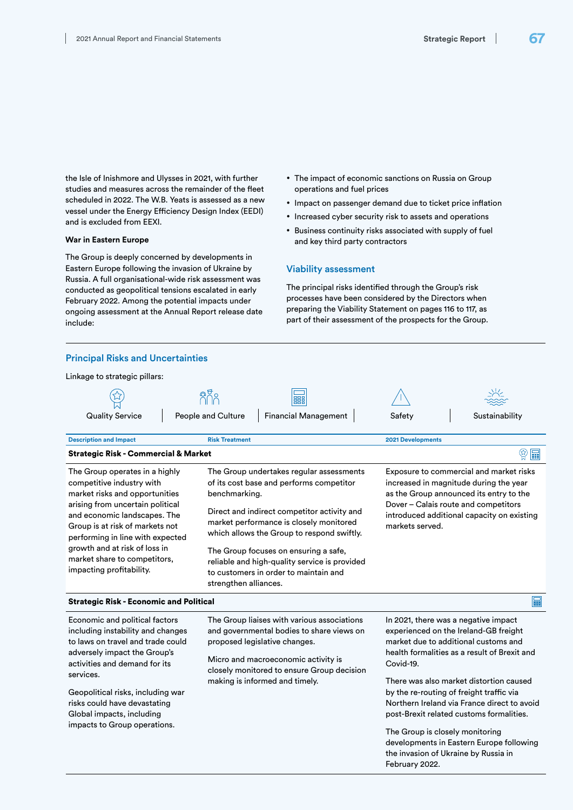the Isle of Inishmore and Ulysses in 2021, with further studies and measures across the remainder of the fleet scheduled in 2022. The W.B. Yeats is assessed as a new vessel under the Energy Efficiency Design Index (EEDI) and is excluded from EEXI.

### **War in Eastern Europe**

The Group is deeply concerned by developments in Eastern Europe following the invasion of Ukraine by Russia. A full organisational-wide risk assessment was conducted as geopolitical tensions escalated in early February 2022. Among the potential impacts under ongoing assessment at the Annual Report release date include:

- The impact of economic sanctions on Russia on Group operations and fuel prices
- Impact on passenger demand due to ticket price inflation
- Increased cyber security risk to assets and operations
- Business continuity risks associated with supply of fuel and key third party contractors

## Viability assessment

The principal risks identified through the Group's risk processes have been considered by the Directors when preparing the Viability Statement on pages 116 to 117, as part of their assessment of the prospects for the Group.

| <b>Principal Risks and Uncertainties</b>                                                                                                                                                                                                                                                                                              |                                                                                                                                                                                                                                                                                                                                                                                                           |                                                                                                                                                                                                                                       |                                                                                                                                                                          |  |
|---------------------------------------------------------------------------------------------------------------------------------------------------------------------------------------------------------------------------------------------------------------------------------------------------------------------------------------|-----------------------------------------------------------------------------------------------------------------------------------------------------------------------------------------------------------------------------------------------------------------------------------------------------------------------------------------------------------------------------------------------------------|---------------------------------------------------------------------------------------------------------------------------------------------------------------------------------------------------------------------------------------|--------------------------------------------------------------------------------------------------------------------------------------------------------------------------|--|
| Linkage to strategic pillars:                                                                                                                                                                                                                                                                                                         |                                                                                                                                                                                                                                                                                                                                                                                                           |                                                                                                                                                                                                                                       |                                                                                                                                                                          |  |
|                                                                                                                                                                                                                                                                                                                                       | 8gs<br>諞                                                                                                                                                                                                                                                                                                                                                                                                  |                                                                                                                                                                                                                                       |                                                                                                                                                                          |  |
| <b>Quality Service</b>                                                                                                                                                                                                                                                                                                                | People and Culture<br><b>Financial Management</b>                                                                                                                                                                                                                                                                                                                                                         | Safety                                                                                                                                                                                                                                | Sustainability                                                                                                                                                           |  |
| <b>Description and Impact</b>                                                                                                                                                                                                                                                                                                         | <b>Risk Treatment</b>                                                                                                                                                                                                                                                                                                                                                                                     | <b>2021 Developments</b>                                                                                                                                                                                                              |                                                                                                                                                                          |  |
| <b>Strategic Risk - Commercial &amp; Market</b>                                                                                                                                                                                                                                                                                       |                                                                                                                                                                                                                                                                                                                                                                                                           |                                                                                                                                                                                                                                       | ଢ଼ୁ<br><b>Form</b>                                                                                                                                                       |  |
| The Group operates in a highly<br>competitive industry with<br>market risks and opportunities<br>arising from uncertain political<br>and economic landscapes. The<br>Group is at risk of markets not<br>performing in line with expected<br>growth and at risk of loss in<br>market share to competitors,<br>impacting profitability. | The Group undertakes regular assessments<br>of its cost base and performs competitor<br>benchmarking.<br>Direct and indirect competitor activity and<br>market performance is closely monitored<br>which allows the Group to respond swiftly.<br>The Group focuses on ensuring a safe,<br>reliable and high-quality service is provided<br>to customers in order to maintain and<br>strengthen alliances. | Exposure to commercial and market risks<br>increased in magnitude during the year<br>as the Group announced its entry to the<br>Dover - Calais route and competitors<br>introduced additional capacity on existing<br>markets served. |                                                                                                                                                                          |  |
| <b>Foo</b><br><b>Strategic Risk - Economic and Political</b>                                                                                                                                                                                                                                                                          |                                                                                                                                                                                                                                                                                                                                                                                                           |                                                                                                                                                                                                                                       |                                                                                                                                                                          |  |
| Economic and political factors<br>including instability and changes<br>to laws on travel and trade could<br>adversely impact the Group's<br>activities and demand for its<br>services.                                                                                                                                                | The Group liaises with various associations<br>and governmental bodies to share views on<br>proposed legislative changes.<br>Micro and macroeconomic activity is<br>Covid-19.<br>closely monitored to ensure Group decision<br>making is informed and timely.                                                                                                                                             | In 2021, there was a negative impact                                                                                                                                                                                                  | experienced on the Ireland-GB freight<br>market due to additional customs and<br>health formalities as a result of Brexit and<br>There was also market distortion caused |  |
| Geopolitical risks, including war<br>risks could have devastating<br>Global impacts, including<br>impacts to Group operations.                                                                                                                                                                                                        |                                                                                                                                                                                                                                                                                                                                                                                                           | by the re-routing of freight traffic via<br>The Group is closely monitoring<br>the invasion of Ukraine by Russia in<br>February 2022.                                                                                                 | Northern Ireland via France direct to avoid<br>post-Brexit related customs formalities.<br>developments in Eastern Europe following                                      |  |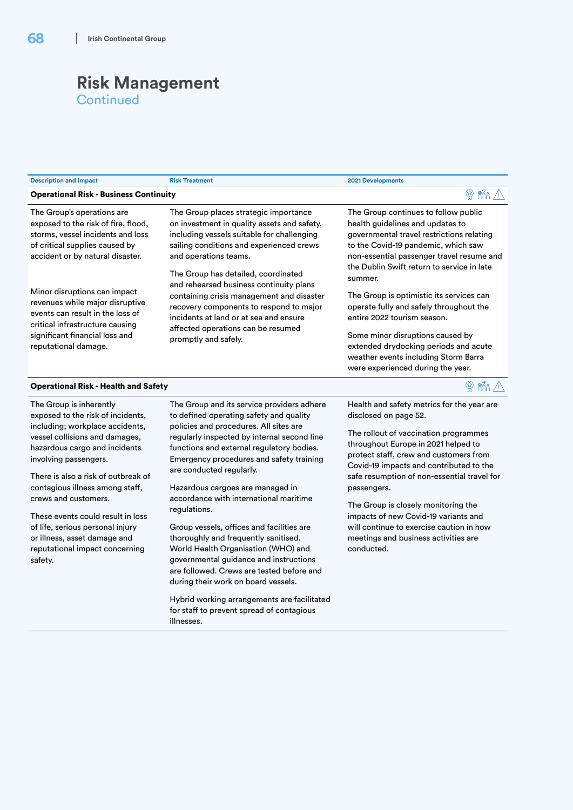| <b>Description and Impact</b>                                                                                                                                                                                                                                                                                                                                                                                                                       | <b>Risk Treatment</b>                                                                                                                                                                                                                                                                                                                                                                                                                                                                                                                                                                                                                                                                                                                                                 | 2021 Developments                                                                                                                                                                                                                                                                                                                                                                                                                                                                       |
|-----------------------------------------------------------------------------------------------------------------------------------------------------------------------------------------------------------------------------------------------------------------------------------------------------------------------------------------------------------------------------------------------------------------------------------------------------|-----------------------------------------------------------------------------------------------------------------------------------------------------------------------------------------------------------------------------------------------------------------------------------------------------------------------------------------------------------------------------------------------------------------------------------------------------------------------------------------------------------------------------------------------------------------------------------------------------------------------------------------------------------------------------------------------------------------------------------------------------------------------|-----------------------------------------------------------------------------------------------------------------------------------------------------------------------------------------------------------------------------------------------------------------------------------------------------------------------------------------------------------------------------------------------------------------------------------------------------------------------------------------|
| <b>Operational Risk - Business Continuity</b>                                                                                                                                                                                                                                                                                                                                                                                                       |                                                                                                                                                                                                                                                                                                                                                                                                                                                                                                                                                                                                                                                                                                                                                                       | $R$ $R$ $\land$                                                                                                                                                                                                                                                                                                                                                                                                                                                                         |
| The Group's operations are<br>exposed to the risk of fire, flood,<br>storms, vessel incidents and loss<br>of critical supplies caused by<br>accident or by natural disaster.                                                                                                                                                                                                                                                                        | The Group places strategic importance<br>on investment in quality assets and safety,<br>including vessels suitable for challenging<br>sailing conditions and experienced crews<br>and operations teams.                                                                                                                                                                                                                                                                                                                                                                                                                                                                                                                                                               | The Group continues to follow public<br>health guidelines and updates to<br>governmental travel restrictions relating<br>to the Covid-19 pandemic, which saw<br>non-essential passenger travel resume and                                                                                                                                                                                                                                                                               |
| Minor disruptions can impact<br>revenues while major disruptive<br>events can result in the loss of<br>critical infrastructure causing<br>significant financial loss and<br>reputational damage.                                                                                                                                                                                                                                                    | The Group has detailed, coordinated<br>and rehearsed business continuity plans<br>containing crisis management and disaster<br>recovery components to respond to major<br>incidents at land or at sea and ensure<br>affected operations can be resumed<br>promptly and safely.                                                                                                                                                                                                                                                                                                                                                                                                                                                                                        | the Dublin Swift return to service in late<br>summer.<br>The Group is optimistic its services can<br>operate fully and safely throughout the<br>entire 2022 tourism season.<br>Some minor disruptions caused by<br>extended drydocking periods and acute<br>weather events including Storm Barra<br>were experienced during the year.                                                                                                                                                   |
| <b>Operational Risk - Health and Safety</b>                                                                                                                                                                                                                                                                                                                                                                                                         |                                                                                                                                                                                                                                                                                                                                                                                                                                                                                                                                                                                                                                                                                                                                                                       | $\circledcirc$ in $\wedge$                                                                                                                                                                                                                                                                                                                                                                                                                                                              |
| The Group is inherently<br>exposed to the risk of incidents,<br>including; workplace accidents,<br>vessel collisions and damages,<br>hazardous cargo and incidents<br>involving passengers.<br>There is also a risk of outbreak of<br>contagious illness among staff,<br>crews and customers.<br>These events could result in loss<br>of life, serious personal injury<br>or illness, asset damage and<br>reputational impact concerning<br>safety. | The Group and its service providers adhere<br>to defined operating safety and quality<br>policies and procedures. All sites are<br>regularly inspected by internal second line<br>functions and external regulatory bodies.<br>Emergency procedures and safety training<br>are conducted regularly.<br>Hazardous cargoes are managed in<br>accordance with international maritime<br>regulations.<br>Group vessels, offices and facilities are<br>thoroughly and frequently sanitised.<br>World Health Organisation (WHO) and<br>governmental guidance and instructions<br>are followed. Crews are tested before and<br>during their work on board vessels.<br>Hybrid working arrangements are facilitated<br>for staff to prevent spread of contagious<br>illnesses. | Health and safety metrics for the year are<br>disclosed on page 52.<br>The rollout of vaccination programmes<br>throughout Europe in 2021 helped to<br>protect staff, crew and customers from<br>Covid-19 impacts and contributed to the<br>safe resumption of non-essential travel for<br>passengers.<br>The Group is closely monitoring the<br>impacts of new Covid-19 variants and<br>will continue to exercise caution in how<br>meetings and business activities are<br>conducted. |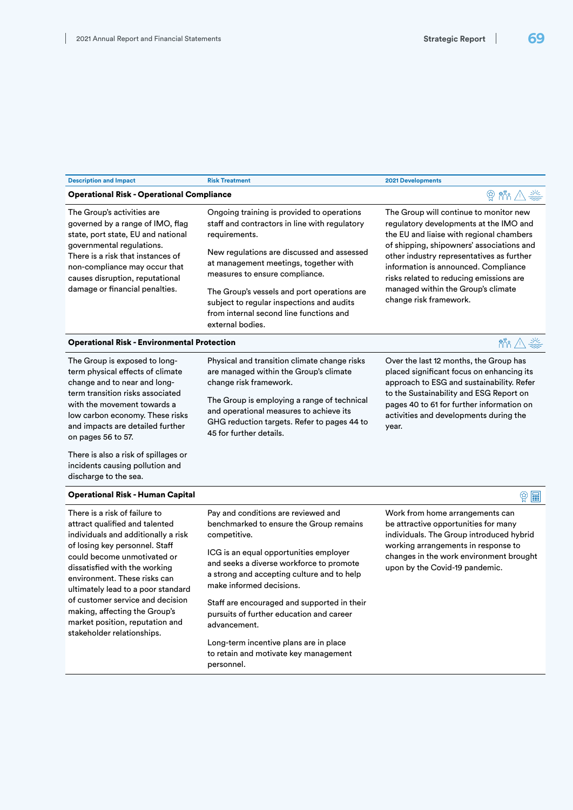| <b>Description and Impact</b>                                                                                                                                                                                                                                                | <b>Risk Treatment</b>                                                                                                                                                                                                                                                                                                                                                                            | <b>2021 Developments</b>                                                                                                                                                                                                                                                                                                                                                  |  |
|------------------------------------------------------------------------------------------------------------------------------------------------------------------------------------------------------------------------------------------------------------------------------|--------------------------------------------------------------------------------------------------------------------------------------------------------------------------------------------------------------------------------------------------------------------------------------------------------------------------------------------------------------------------------------------------|---------------------------------------------------------------------------------------------------------------------------------------------------------------------------------------------------------------------------------------------------------------------------------------------------------------------------------------------------------------------------|--|
| <b>Operational Risk - Operational Compliance</b>                                                                                                                                                                                                                             | <b>曾 棉 △ 焱</b>                                                                                                                                                                                                                                                                                                                                                                                   |                                                                                                                                                                                                                                                                                                                                                                           |  |
| The Group's activities are<br>governed by a range of IMO, flag<br>state, port state, EU and national<br>governmental regulations.<br>There is a risk that instances of<br>non-compliance may occur that<br>causes disruption, reputational<br>damage or financial penalties. | Ongoing training is provided to operations<br>staff and contractors in line with regulatory<br>requirements.<br>New regulations are discussed and assessed<br>at management meetings, together with<br>measures to ensure compliance.<br>The Group's vessels and port operations are<br>subject to regular inspections and audits<br>from internal second line functions and<br>external bodies. | The Group will continue to monitor new<br>regulatory developments at the IMO and<br>the EU and liaise with regional chambers<br>of shipping, shipowners' associations and<br>other industry representatives as further<br>information is announced. Compliance<br>risks related to reducing emissions are<br>managed within the Group's climate<br>change risk framework. |  |
| <b>Operational Risk - Environmental Protection</b>                                                                                                                                                                                                                           |                                                                                                                                                                                                                                                                                                                                                                                                  | $\frac{85}{100}$ $\frac{11}{100}$                                                                                                                                                                                                                                                                                                                                         |  |
| The Group is exposed to long-<br>term physical effects of climate<br>change and to near and long-<br>term transition risks associated<br>with the movement towards a<br>low carbon economy. These risks<br>and impacts are detailed further<br>on pages 56 to 57.            | Physical and transition climate change risks<br>are managed within the Group's climate<br>change risk framework.<br>The Group is employing a range of technical<br>and operational measures to achieve its<br>GHG reduction targets. Refer to pages 44 to<br>45 for further details.                                                                                                             | Over the last 12 months, the Group has<br>placed significant focus on enhancing its<br>approach to ESG and sustainability. Refer<br>to the Sustainability and ESG Report on<br>pages 40 to 61 for further information on<br>activities and developments during the<br>year.                                                                                               |  |
| There is also a risk of spillages or<br>incidents causing pollution and<br>discharge to the sea.                                                                                                                                                                             |                                                                                                                                                                                                                                                                                                                                                                                                  |                                                                                                                                                                                                                                                                                                                                                                           |  |
| <b>Operational Risk - Human Capital</b>                                                                                                                                                                                                                                      |                                                                                                                                                                                                                                                                                                                                                                                                  | $\circledS$ $\boxplus$                                                                                                                                                                                                                                                                                                                                                    |  |
| There is a risk of failure to                                                                                                                                                                                                                                                | Pay and conditions are reviewed and                                                                                                                                                                                                                                                                                                                                                              | Work from home arrangements can                                                                                                                                                                                                                                                                                                                                           |  |

attract qualified and talented individuals and additionally a risk of losing key personnel. Staff could become unmotivated or dissatisfied with the working environment. These risks can ultimately lead to a poor standard of customer service and decision making, affecting the Group's market position, reputation and stakeholder relationships.

benchmarked to ensure the Group remains competitive.

ICG is an equal opportunities employer and seeks a diverse workforce to promote a strong and accepting culture and to help make informed decisions.

Staff are encouraged and supported in their pursuits of further education and career advancement.

Long-term incentive plans are in place to retain and motivate key management personnel.

be attractive opportunities for many individuals. The Group introduced hybrid working arrangements in response to changes in the work environment brought upon by the Covid-19 pandemic.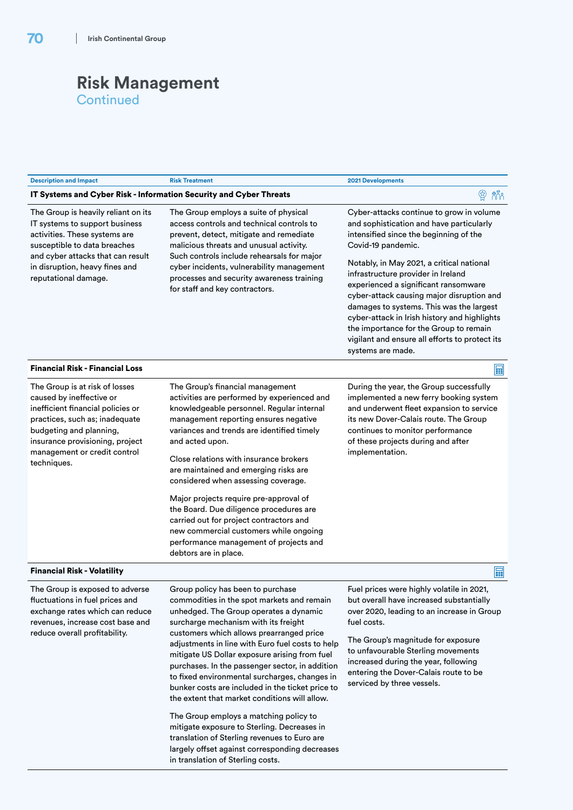| <b>Description and Impact</b>                                                                                                                                                                                                                  | <b>Risk Treatment</b>                                                                                                                                                                                                                                                                                                                                                                                                                                                                                                                                                                                         | 2021 Developments                                                                                                                                                                                                                                                                                                                                                                                                                                                                                                                         |
|------------------------------------------------------------------------------------------------------------------------------------------------------------------------------------------------------------------------------------------------|---------------------------------------------------------------------------------------------------------------------------------------------------------------------------------------------------------------------------------------------------------------------------------------------------------------------------------------------------------------------------------------------------------------------------------------------------------------------------------------------------------------------------------------------------------------------------------------------------------------|-------------------------------------------------------------------------------------------------------------------------------------------------------------------------------------------------------------------------------------------------------------------------------------------------------------------------------------------------------------------------------------------------------------------------------------------------------------------------------------------------------------------------------------------|
| IT Systems and Cyber Risk - Information Security and Cyber Threats                                                                                                                                                                             |                                                                                                                                                                                                                                                                                                                                                                                                                                                                                                                                                                                                               | $\bigcirc$<br>่ กิกี๊ก                                                                                                                                                                                                                                                                                                                                                                                                                                                                                                                    |
| The Group is heavily reliant on its<br>IT systems to support business<br>activities. These systems are<br>susceptible to data breaches<br>and cyber attacks that can result<br>in disruption, heavy fines and<br>reputational damage.          | The Group employs a suite of physical<br>access controls and technical controls to<br>prevent, detect, mitigate and remediate<br>malicious threats and unusual activity.<br>Such controls include rehearsals for major<br>cyber incidents, vulnerability management<br>processes and security awareness training<br>for staff and key contractors.                                                                                                                                                                                                                                                            | Cyber-attacks continue to grow in volume<br>and sophistication and have particularly<br>intensified since the beginning of the<br>Covid-19 pandemic.<br>Notably, in May 2021, a critical national<br>infrastructure provider in Ireland<br>experienced a significant ransomware<br>cyber-attack causing major disruption and<br>damages to systems. This was the largest<br>cyber-attack in Irish history and highlights<br>the importance for the Group to remain<br>vigilant and ensure all efforts to protect its<br>systems are made. |
| <b>Financial Risk - Financial Loss</b>                                                                                                                                                                                                         |                                                                                                                                                                                                                                                                                                                                                                                                                                                                                                                                                                                                               | <b>The Second</b>                                                                                                                                                                                                                                                                                                                                                                                                                                                                                                                         |
| The Group is at risk of losses<br>caused by ineffective or<br>inefficient financial policies or<br>practices, such as; inadequate<br>budgeting and planning,<br>insurance provisioning, project<br>management or credit control<br>techniques. | The Group's financial management<br>activities are performed by experienced and<br>knowledgeable personnel. Regular internal<br>management reporting ensures negative<br>variances and trends are identified timely<br>and acted upon.<br>Close relations with insurance brokers<br>are maintained and emerging risks are<br>considered when assessing coverage.<br>Major projects require pre-approval of<br>the Board. Due diligence procedures are<br>carried out for project contractors and<br>new commercial customers while ongoing<br>performance management of projects and<br>debtors are in place. | During the year, the Group successfully<br>implemented a new ferry booking system<br>and underwent fleet expansion to service<br>its new Dover-Calais route. The Group<br>continues to monitor performance<br>of these projects during and after<br>implementation.                                                                                                                                                                                                                                                                       |
| <b>Financial Risk - Volatility</b>                                                                                                                                                                                                             |                                                                                                                                                                                                                                                                                                                                                                                                                                                                                                                                                                                                               | <b>THE</b>                                                                                                                                                                                                                                                                                                                                                                                                                                                                                                                                |
| The Group is exposed to adverse<br>fluctuations in fuel prices and<br>exchange rates which can reduce<br>revenues, increase cost base and<br>reduce overall profitability.                                                                     | Group policy has been to purchase<br>commodities in the spot markets and remain<br>unhedged. The Group operates a dynamic<br>surcharge mechanism with its freight<br>customers which allows prearranged price<br>adjustments in line with Euro fuel costs to help<br>mitigate US Dollar exposure arising from fuel<br>purchases. In the passenger sector, in addition<br>to fixed environmental surcharges, changes in<br>bunker costs are included in the ticket price to<br>the extent that market conditions will allow.<br>The Crown employe a matching policy to                                         | Fuel prices were highly volatile in 2021,<br>but overall have increased substantially<br>over 2020, leading to an increase in Group<br>fuel costs.<br>The Group's magnitude for exposure<br>to unfavourable Sterling movements<br>increased during the year, following<br>entering the Dover-Calais route to be<br>serviced by three vessels.                                                                                                                                                                                             |

The Group employs a matching policy to mitigate exposure to Sterling. Decreases in translation of Sterling revenues to Euro are largely offset against corresponding decreases in translation of Sterling costs.